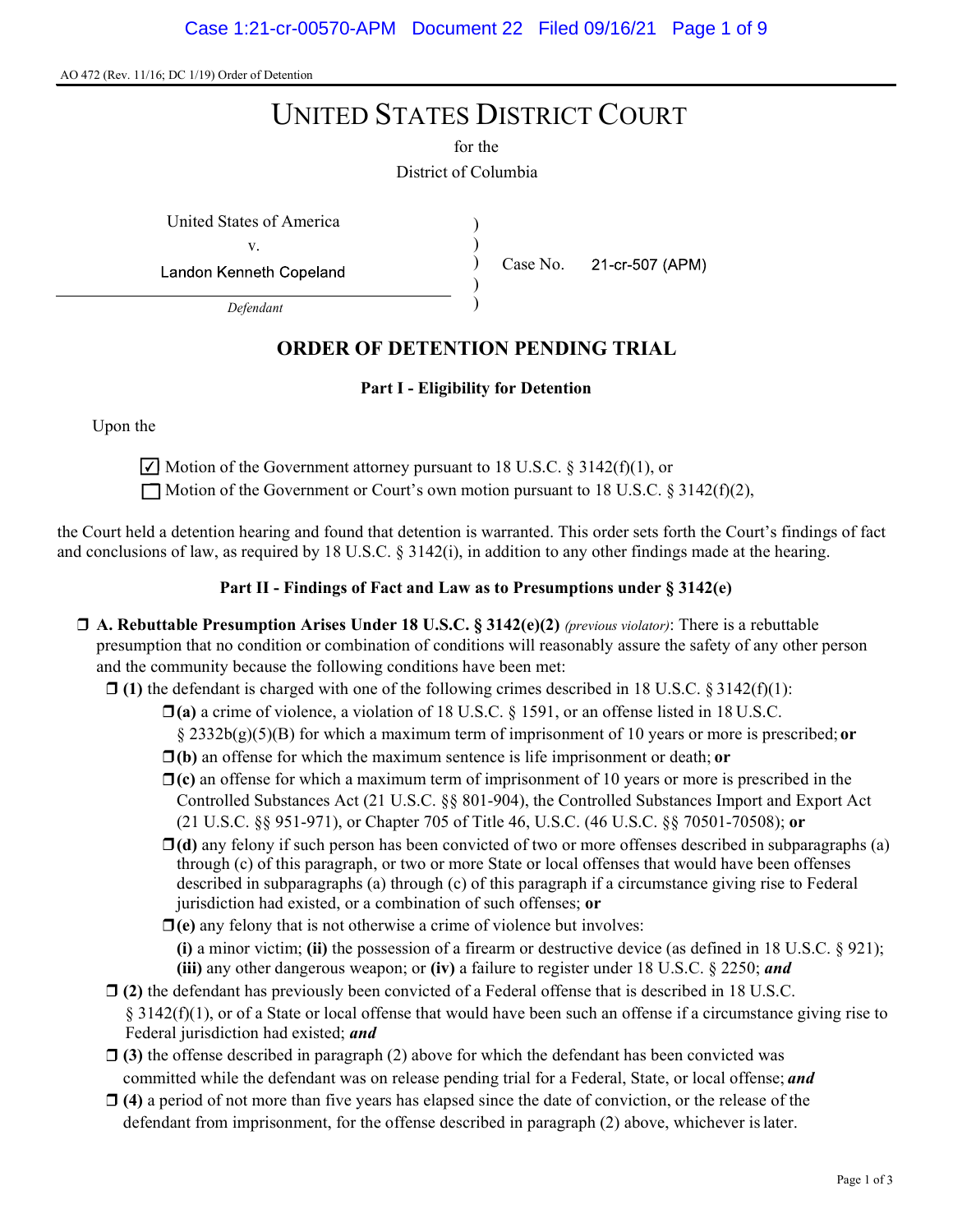AO 472 (Rev. 11/16; DC 1/19) Order of Detention

# UNITED STATES DISTRICT COURT

District of Columbia for the

United States of America ) v.

Landon Kenneth Copeland

Defendant

# ORDER OF DETENTION PENDING TRIAL

)

) ) ) Case No.

21-cr-507 (APM)

#### Part I - Eligibility for Detention

Upon the

 $\vert\angle\vert$  Motion of the Government attorney pursuant to 18 U.S.C. § 3142(f)(1), or

 $\Box$  Motion of the Government or Court's own motion pursuant to 18 U.S.C. § 3142(f)(2),

the Court held a detention hearing and found that detention is warranted. This order sets forth the Court's findings of fact and conclusions of law, as required by 18 U.S.C.  $\S$  3142(i), in addition to any other findings made at the hearing.

#### Part II - Findings of Fact and Law as to Presumptions under § 3142(e)

- $\Box$  A. Rebuttable Presumption Arises Under 18 U.S.C. § 3142(e)(2) (previous violator): There is a rebuttable presumption that no condition or combination of conditions will reasonably assure the safety of any other person and the community because the following conditions have been met:
	- $\Box$  (1) the defendant is charged with one of the following crimes described in 18 U.S.C. § 3142(f)(1):
		- $\Box$ (a) a crime of violence, a violation of 18 U.S.C. § 1591, or an offense listed in 18 U.S.C.
			- §  $2332b(g)(5)(B)$  for which a maximum term of imprisonment of 10 years or more is prescribed; or
		- $\Box$ (b) an offense for which the maximum sentence is life imprisonment or death; or
		- $\Box$ (c) an offense for which a maximum term of imprisonment of 10 years or more is prescribed in the Controlled Substances Act (21 U.S.C. §§ 801-904), the Controlled Substances Import and Export Act (21 U.S.C. §§ 951-971), or Chapter 705 of Title 46, U.S.C. (46 U.S.C. §§ 70501-70508); or
		- $\Box$ (d) any felony if such person has been convicted of two or more offenses described in subparagraphs (a) through (c) of this paragraph, or two or more State or local offenses that would have been offenses described in subparagraphs (a) through (c) of this paragraph if a circumstance giving rise to Federal jurisdiction had existed, or a combination of such offenses; or
		- $\Box$ (e) any felony that is not otherwise a crime of violence but involves: (i) a minor victim; (ii) the possession of a firearm or destructive device (as defined in 18 U.S.C.  $\S$  921); (iii) any other dangerous weapon; or (iv) a failure to register under 18 U.S.C.  $\S$  2250; and
	- $\Box$  (2) the defendant has previously been convicted of a Federal offense that is described in 18 U.S.C.  $\S 3142(f)(1)$ , or of a State or local offense that would have been such an offense if a circumstance giving rise to Federal jurisdiction had existed; and
	- $\Box$  (3) the offense described in paragraph (2) above for which the defendant has been convicted was committed while the defendant was on release pending trial for a Federal, State, or local offense; and
	- $\Box$  (4) a period of not more than five years has elapsed since the date of conviction, or the release of the defendant from imprisonment, for the offense described in paragraph (2) above, whichever is later.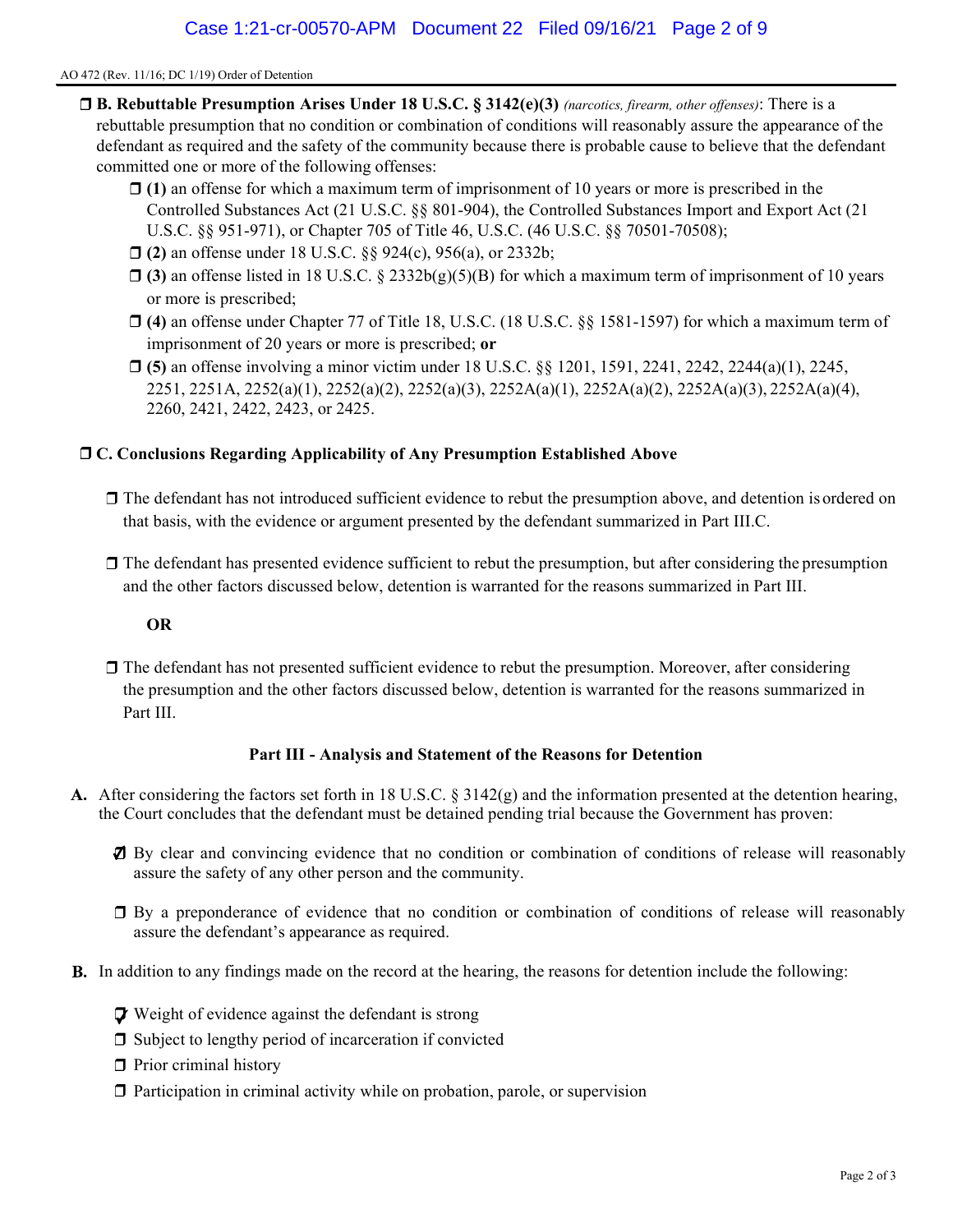#### AO 472 (Rev. 11/16; DC 1/19) Order of Detention

- $\Box$  **B. Rebuttable Presumption Arises Under 18 U.S.C. § 3142(e)(3)** (narcotics, firearm, other offenses): There is a rebuttable presumption that no condition or combination of conditions will reasonably assure the appearance of the defendant as required and the safety of the community because there is probable cause to believe that the defendant committed one or more of the following offenses:
	- $\Box$  (1) an offense for which a maximum term of imprisonment of 10 years or more is prescribed in the Controlled Substances Act (21 U.S.C. §§ 801-904), the Controlled Substances Import and Export Act (21 U.S.C. §§ 951-971), or Chapter 705 of Title 46, U.S.C. (46 U.S.C. §§ 70501-70508);
	- □ (2) an offense under 18 U.S.C. §§ 924(c), 956(a), or 2332b;
	- $\Box$  (3) an offense listed in 18 U.S.C. § 2332b(g)(5)(B) for which a maximum term of imprisonment of 10 years or more is prescribed;
	- (4) an offense under Chapter 77 of Title 18, U.S.C. (18 U.S.C. §§ 1581-1597) for which a maximum term of imprisonment of 20 years or more is prescribed; or
	- $\Box$  (5) an offense involving a minor victim under 18 U.S.C. §§ 1201, 1591, 2241, 2242, 2244(a)(1), 2245, 2251, 2251A, 2252(a)(1), 2252(a)(2), 2252(a)(3), 2252A(a)(1), 2252A(a)(2), 2252A(a)(3), 2252A(a)(4), 2260, 2421, 2422, 2423, or 2425.

#### C. Conclusions Regarding Applicability of Any Presumption Established Above

- The defendant has not introduced sufficient evidence to rebut the presumption above, and detention is ordered on that basis, with the evidence or argument presented by the defendant summarized in Part III.C.
- $\Box$  The defendant has presented evidence sufficient to rebut the presumption, but after considering the presumption and the other factors discussed below, detention is warranted for the reasons summarized in Part III.

#### OR

 $\Box$  The defendant has not presented sufficient evidence to rebut the presumption. Moreover, after considering the presumption and the other factors discussed below, detention is warranted for the reasons summarized in Part III.

#### Part III - Analysis and Statement of the Reasons for Detention

- A. After considering the factors set forth in 18 U.S.C. § 3142(g) and the information presented at the detention hearing, the Court concludes that the defendant must be detained pending trial because the Government has proven:
	- By clear and convincing evidence that no condition or combination of conditions of release will reasonably assure the safety of any other person and the community.
	- By a preponderance of evidence that no condition or combination of conditions of release will reasonably assure the defendant's appearance as required.
- **B.** In addition to any findings made on the record at the hearing, the reasons for detention include the following:
	- **V** Weight of evidence against the defendant is strong
	- $\Box$  Subject to lengthy period of incarceration if convicted
	- $\Box$  Prior criminal history
	- $\Box$  Participation in criminal activity while on probation, parole, or supervision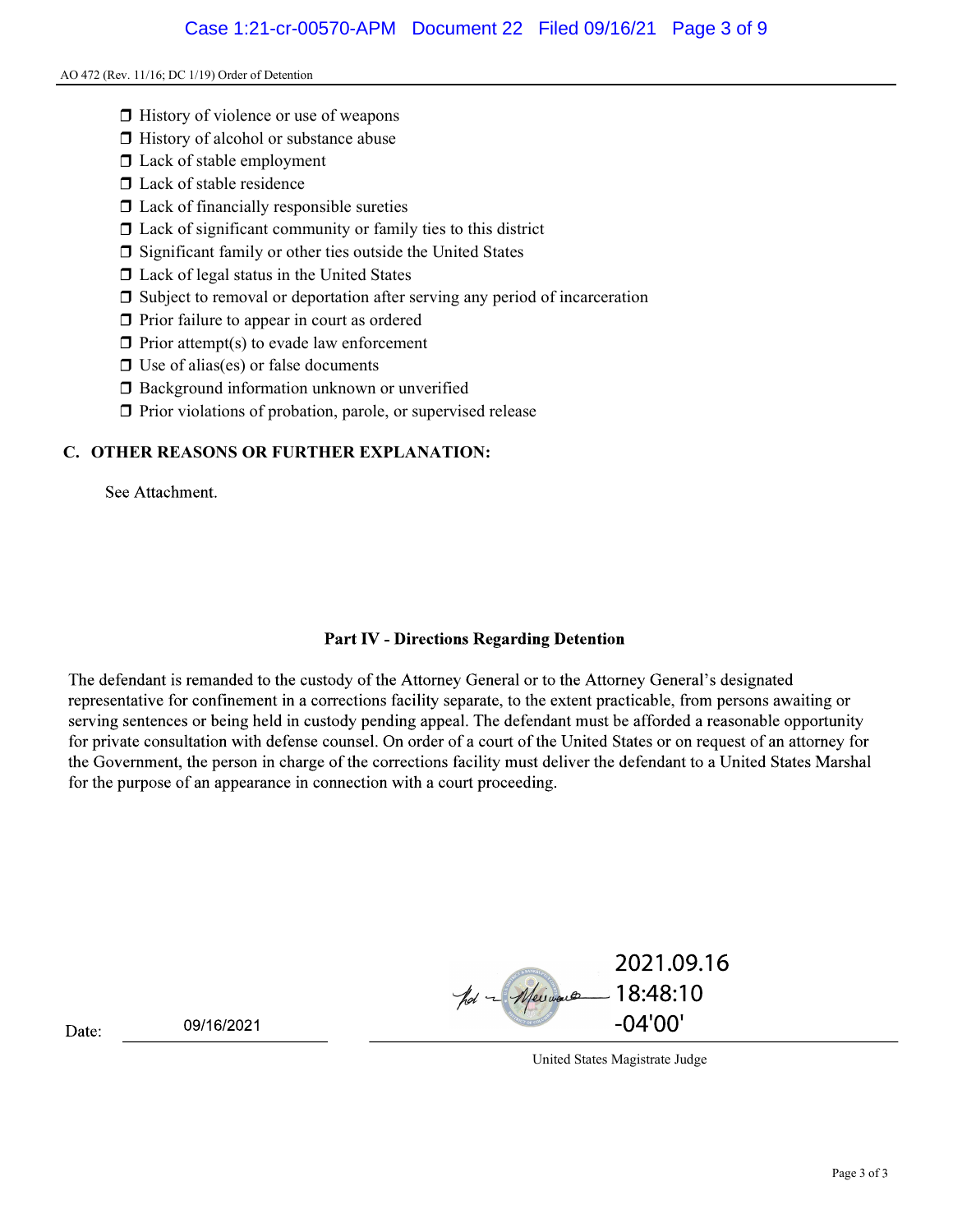#### AO 472 (Rev. 11/16; DC 1/19) Order of Detention

- $\Box$  History of violence or use of weapons
- $\Box$  History of alcohol or substance abuse
- □ Lack of stable employment
- $\square$  Lack of stable residence
- $\Box$  Lack of financially responsible sureties
- $\Box$  Lack of significant community or family ties to this district
- $\square$  Significant family or other ties outside the United States
- □ Lack of legal status in the United States
- Subject to removal or deportation after serving any period of incarceration
- $\Box$  Prior failure to appear in court as ordered
- $\Box$  Prior attempt(s) to evade law enforcement
- $\Box$  Use of alias(es) or false documents
- **Background information unknown or unverified**
- $\Box$  Prior violations of probation, parole, or supervised release

# C. OTHER REASONS OR FURTHER EXPLANATION:

See Attachment.

# **Part IV - Directions Regarding Detention**

The defendant is remanded to the custody of the Attorney General or to the Attorney General's designated representative for confinement in a corrections facility separate, to the extent practicable, from persons awaiting or serving sentences or being held in custody pending appeal. The defendant must be afforded a reasonable opportunity for private consultation with defense counsel. On order of a court of the United States or on request of an attorney for the Government, the person in charge of the corrections facility must deliver the defendant to a United States Marshal for the purpose of an appearance in connection with a court proceeding.

2021.09.16 pol - Meimore  $-18:48:10$  $-04'00'$ 

09/16/2021

Date:

United States Magistrate Judge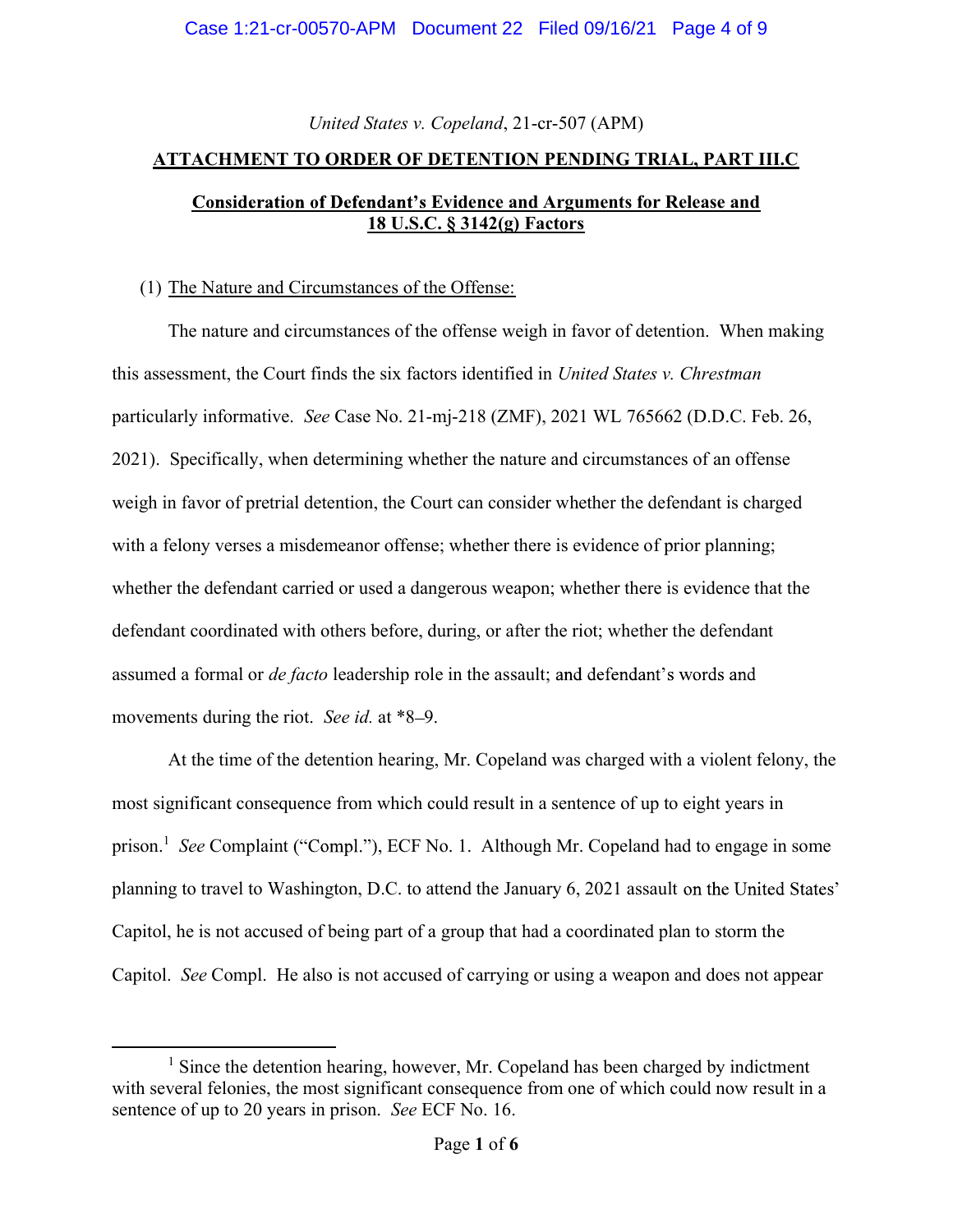# United States v. Copeland, 21-cr-507 (APM)

### ATTACHMENT TO ORDER OF DETENTION PENDING TRIAL, PART III.C

# Consideration of Defendant's Evidence and Arguments for Release and 18 U.S.C. § 3142(g) Factors

## (1) The Nature and Circumstances of the Offense:

The nature and circumstances of the offense weigh in favor of detention. When making this assessment, the Court finds the six factors identified in United States v. Chrestman particularly informative. See Case No. 21-mj-218 (ZMF), 2021 WL 765662 (D.D.C. Feb. 26, 2021). Specifically, when determining whether the nature and circumstances of an offense weigh in favor of pretrial detention, the Court can consider whether the defendant is charged with a felony verses a misdemeanor offense; whether there is evidence of prior planning; whether the defendant carried or used a dangerous weapon; whether there is evidence that the defendant coordinated with others before, during, or after the riot; whether the defendant assumed a formal or *de facto* leadership role in the assault; and defendant's words and movements during the riot. See id. at \*8–9.

At the time of the detention hearing, Mr. Copeland was charged with a violent felony, the most significant consequence from which could result in a sentence of up to eight years in prison.<sup>1</sup> See Complaint ("Compl."), ECF No. 1. Although Mr. Copeland had to engage in some planning to travel to Washington, D.C. to attend the January 6, 2021 assault on the United States' Capitol, he is not accused of being part of a group that had a coordinated plan to storm the Capitol. See Compl. He also is not accused of carrying or using a weapon and does not appear

<sup>&</sup>lt;sup>1</sup> Since the detention hearing, however, Mr. Copeland has been charged by indictment with several felonies, the most significant consequence from one of which could now result in a sentence of up to 20 years in prison. See ECF No. 16.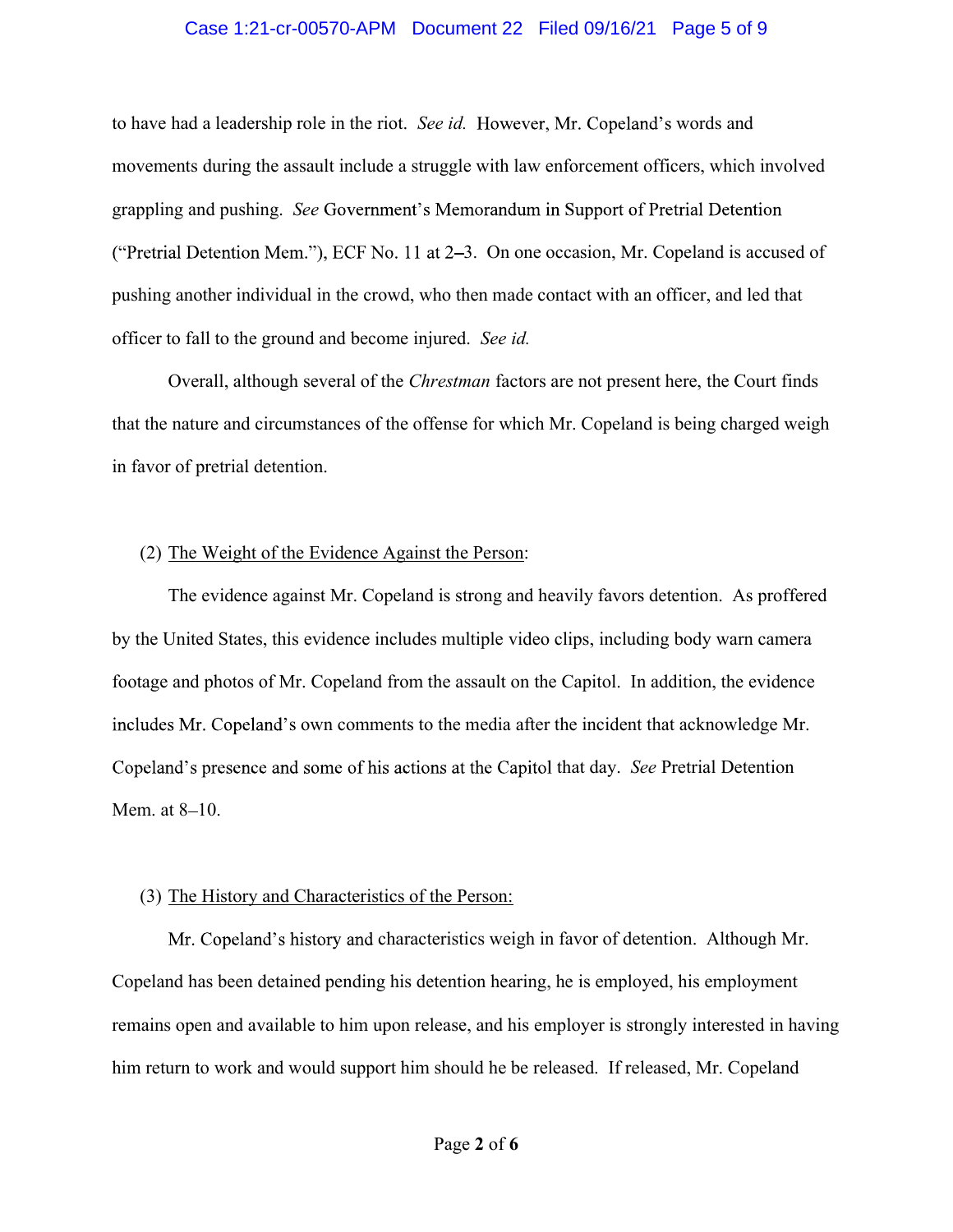#### Case 1:21-cr-00570-APM Document 22 Filed 09/16/21 Page 5 of 9

to have had a leadership role in the riot. See id. However, Mr. Copeland's words and movements during the assault include a struggle with law enforcement officers, which involved grappling and pushing. See Government's Memorandum in Support of Pretrial Detention ("Pretrial Detention Mem."), ECF No. 11 at  $2-3$ . On one occasion, Mr. Copeland is accused of pushing another individual in the crowd, who then made contact with an officer, and led that officer to fall to the ground and become injured. See id.

Overall, although several of the Chrestman factors are not present here, the Court finds that the nature and circumstances of the offense for which Mr. Copeland is being charged weigh in favor of pretrial detention.

#### (2) The Weight of the Evidence Against the Person:

The evidence against Mr. Copeland is strong and heavily favors detention. As proffered by the United States, this evidence includes multiple video clips, including body warn camera footage and photos of Mr. Copeland from the assault on the Capitol. In addition, the evidence includes Mr. Copeland's own comments to the media after the incident that acknowledge Mr. Copeland's presence and some of his actions at the Capitol that day. See Pretrial Detention Mem. at 8-10.

#### (3) The History and Characteristics of the Person:

Mr. Copeland's history and characteristics weigh in favor of detention. Although Mr. Copeland has been detained pending his detention hearing, he is employed, his employment remains open and available to him upon release, and his employer is strongly interested in having him return to work and would support him should he be released. If released, Mr. Copeland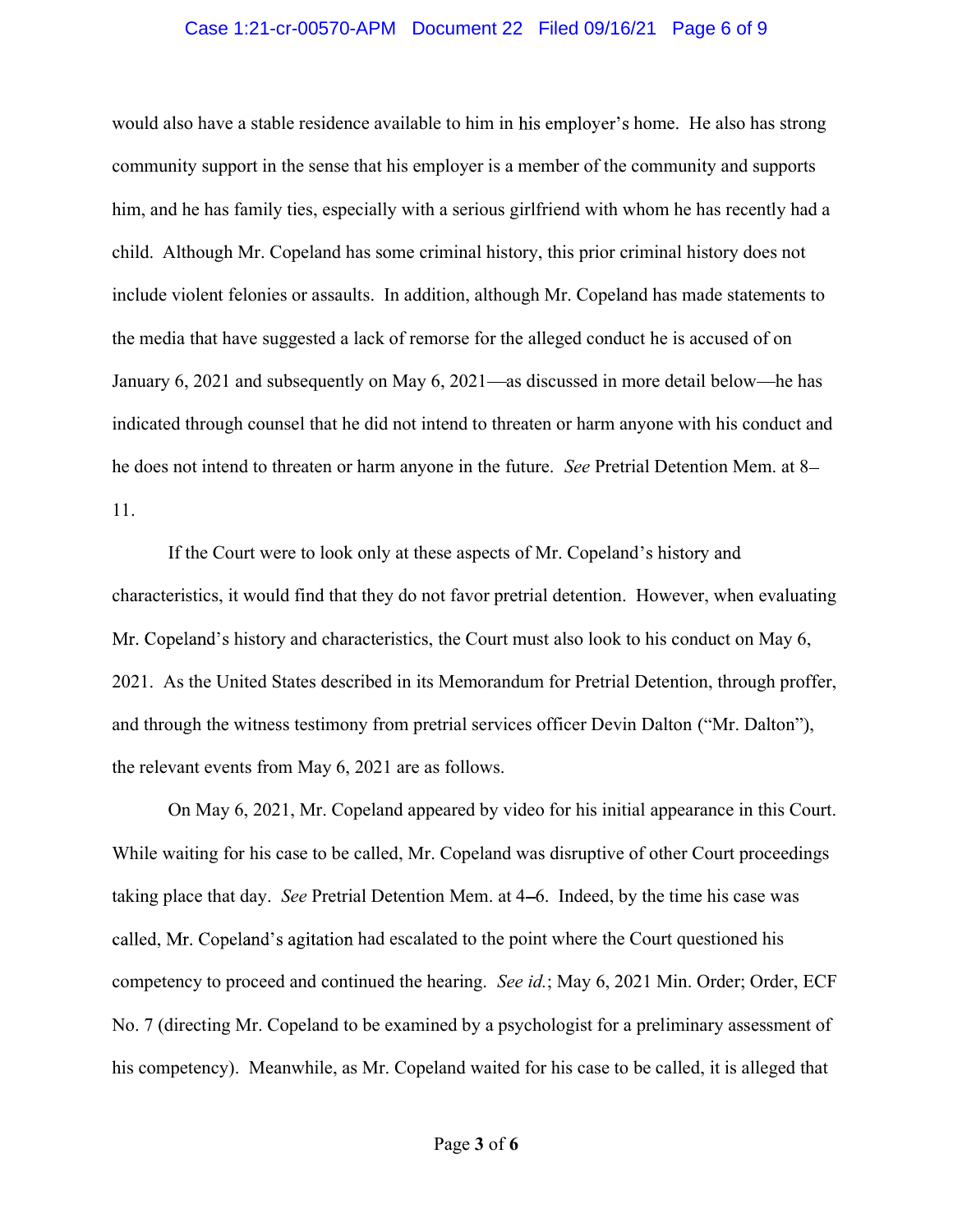#### Case 1:21-cr-00570-APM Document 22 Filed 09/16/21 Page 6 of 9

would also have a stable residence available to him in his employer's home. He also has strong community support in the sense that his employer is a member of the community and supports him, and he has family ties, especially with a serious girlfriend with whom he has recently had a child. Although Mr. Copeland has some criminal history, this prior criminal history does not include violent felonies or assaults. In addition, although Mr. Copeland has made statements to the media that have suggested a lack of remorse for the alleged conduct he is accused of on January 6, 2021 and subsequently on May 6, 2021—as discussed in more detail below—he has indicated through counsel that he did not intend to threaten or harm anyone with his conduct and he does not intend to threaten or harm anyone in the future. See Pretrial Detention Mem. at 8– 11.

If the Court were to look only at these aspects of Mr. Copeland's history and characteristics, it would find that they do not favor pretrial detention. However, when evaluating Mr. Copeland's history and characteristics, the Court must also look to his conduct on May 6, 2021. As the United States described in its Memorandum for Pretrial Detention, through proffer, and through the witness testimony from pretrial services officer Devin Dalton ("Mr. Dalton"), the relevant events from May 6, 2021 are as follows.

On May 6, 2021, Mr. Copeland appeared by video for his initial appearance in this Court. While waiting for his case to be called, Mr. Copeland was disruptive of other Court proceedings taking place that day. See Pretrial Detention Mem. at 4–6. Indeed, by the time his case was called, Mr. Copeland's agitation had escalated to the point where the Court questioned his competency to proceed and continued the hearing. See id.; May 6, 2021 Min. Order; Order, ECF No. 7 (directing Mr. Copeland to be examined by a psychologist for a preliminary assessment of his competency). Meanwhile, as Mr. Copeland waited for his case to be called, it is alleged that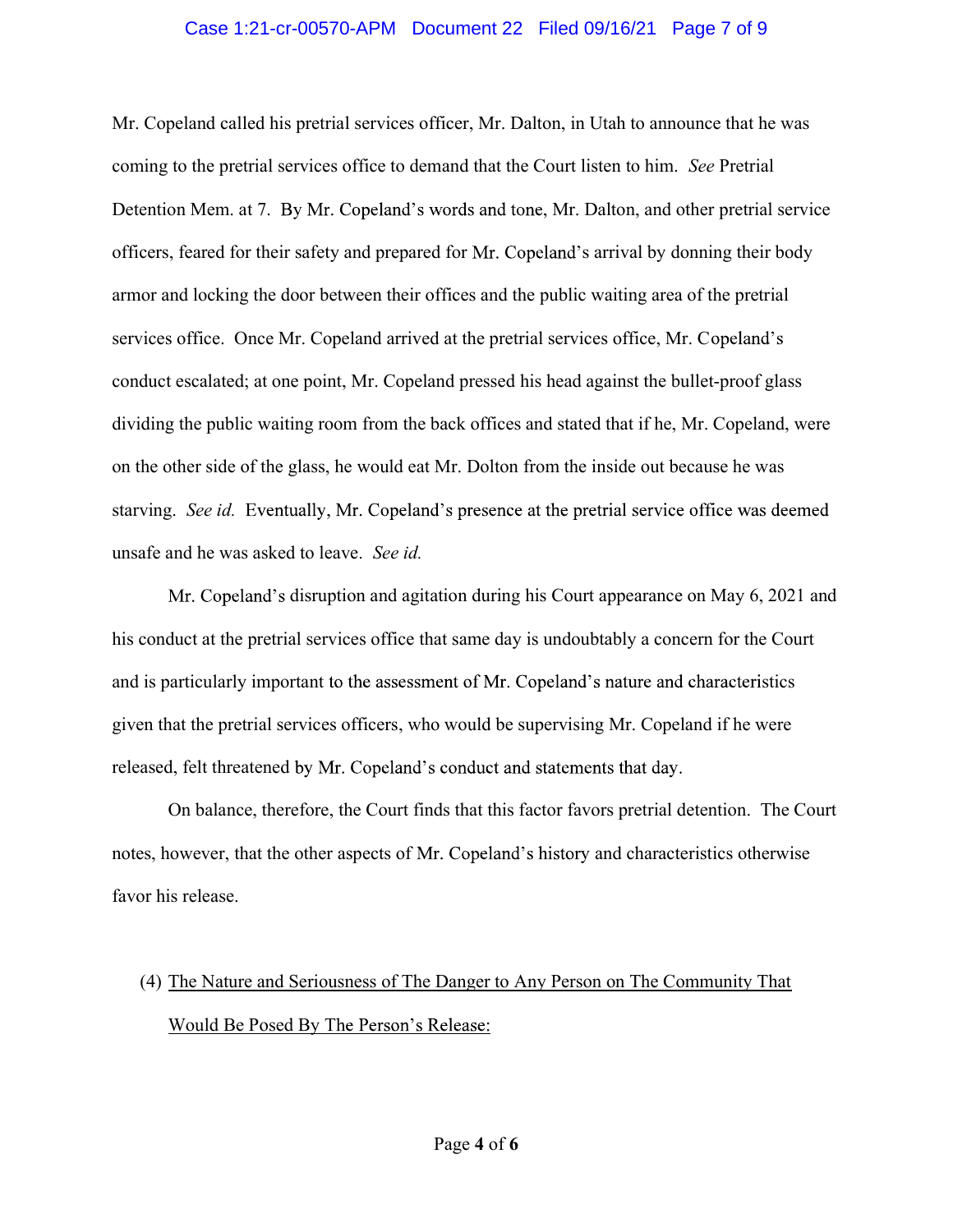#### Case 1:21-cr-00570-APM Document 22 Filed 09/16/21 Page 7 of 9

Mr. Copeland called his pretrial services officer, Mr. Dalton, in Utah to announce that he was coming to the pretrial services office to demand that the Court listen to him. See Pretrial Detention Mem. at 7. By Mr. Copeland's words and tone, Mr. Dalton, and other pretrial service officers, feared for their safety and prepared for Mr. Copeland's arrival by donning their body armor and locking the door between their offices and the public waiting area of the pretrial services office. Once Mr. Copeland arrived at the pretrial services office, Mr. Copeland's conduct escalated; at one point, Mr. Copeland pressed his head against the bullet-proof glass dividing the public waiting room from the back offices and stated that if he, Mr. Copeland, were on the other side of the glass, he would eat Mr. Dolton from the inside out because he was starving. See id. Eventually, Mr. Copeland's presence at the pretrial service office was deemed unsafe and he was asked to leave. See id.

Mr. Copeland's disruption and agitation during his Court appearance on May 6, 2021 and his conduct at the pretrial services office that same day is undoubtably a concern for the Court and is particularly important to the assessment of Mr. Copeland's nature and characteristics given that the pretrial services officers, who would be supervising Mr. Copeland if he were released, felt threatened by Mr. Copeland's conduct and statements that day.

On balance, therefore, the Court finds that this factor favors pretrial detention. The Court notes, however, that the other aspects of Mr. Copeland's history and characteristics otherwise favor his release.

# (4) The Nature and Seriousness of The Danger to Any Person on The Community That Would Be Posed By The Person's Release: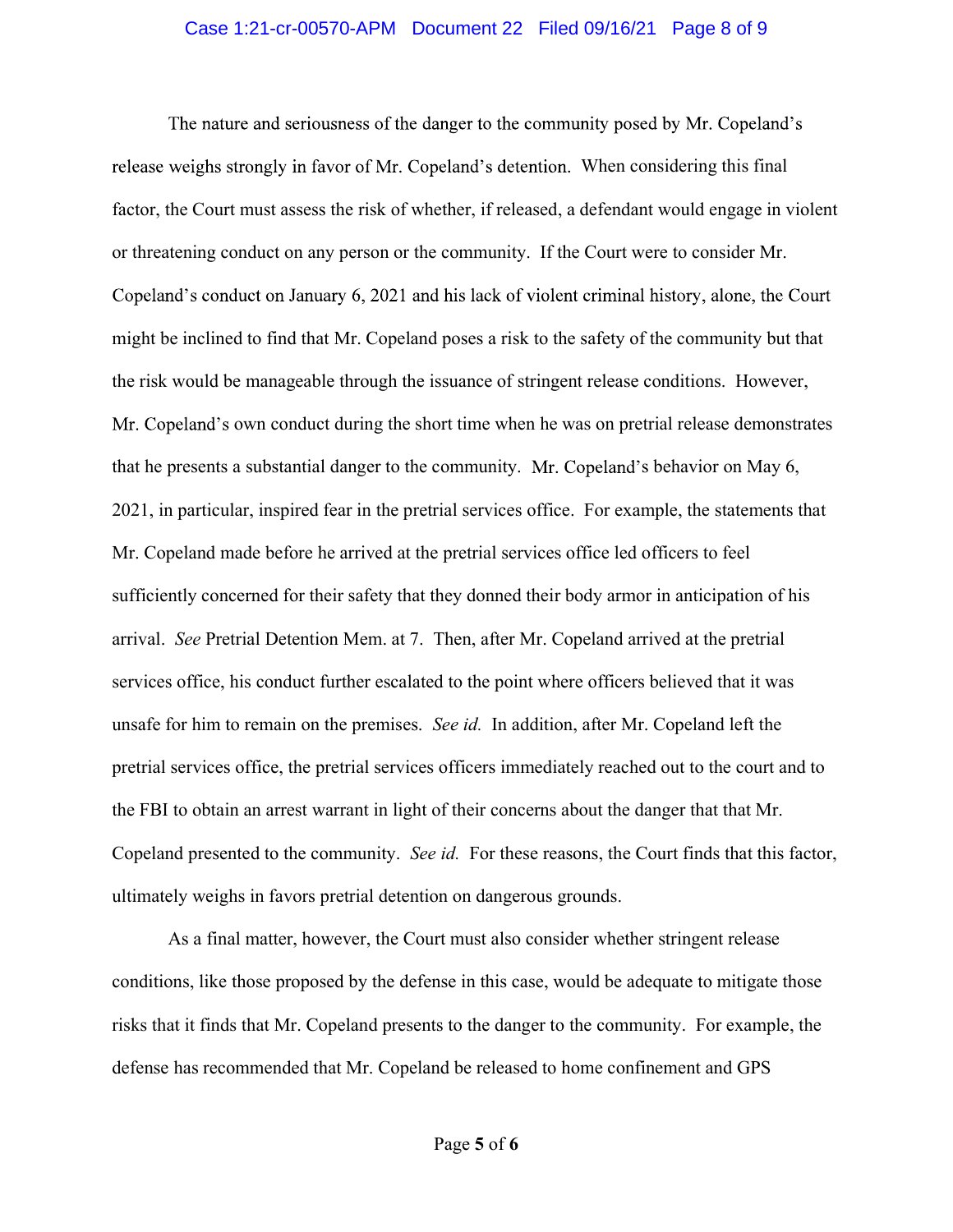#### Case 1:21-cr-00570-APM Document 22 Filed 09/16/21 Page 8 of 9

The nature and seriousness of the danger to the community posed by Mr. Copeland's release weighs strongly in favor of Mr. Copeland's detention. When considering this final factor, the Court must assess the risk of whether, if released, a defendant would engage in violent or threatening conduct on any person or the community. If the Court were to consider Mr. Copeland's conduct on January 6, 2021 and his lack of violent criminal history, alone, the Court might be inclined to find that Mr. Copeland poses a risk to the safety of the community but that the risk would be manageable through the issuance of stringent release conditions. However, Mr. Copeland's own conduct during the short time when he was on pretrial release demonstrates that he presents a substantial danger to the community. Mr. Copeland's behavior on May 6, 2021, in particular, inspired fear in the pretrial services office. For example, the statements that Mr. Copeland made before he arrived at the pretrial services office led officers to feel sufficiently concerned for their safety that they donned their body armor in anticipation of his arrival. See Pretrial Detention Mem. at 7. Then, after Mr. Copeland arrived at the pretrial services office, his conduct further escalated to the point where officers believed that it was unsafe for him to remain on the premises. See id. In addition, after Mr. Copeland left the pretrial services office, the pretrial services officers immediately reached out to the court and to the FBI to obtain an arrest warrant in light of their concerns about the danger that that Mr. Copeland presented to the community. See id. For these reasons, the Court finds that this factor, ultimately weighs in favors pretrial detention on dangerous grounds.

As a final matter, however, the Court must also consider whether stringent release conditions, like those proposed by the defense in this case, would be adequate to mitigate those risks that it finds that Mr. Copeland presents to the danger to the community. For example, the defense has recommended that Mr. Copeland be released to home confinement and GPS